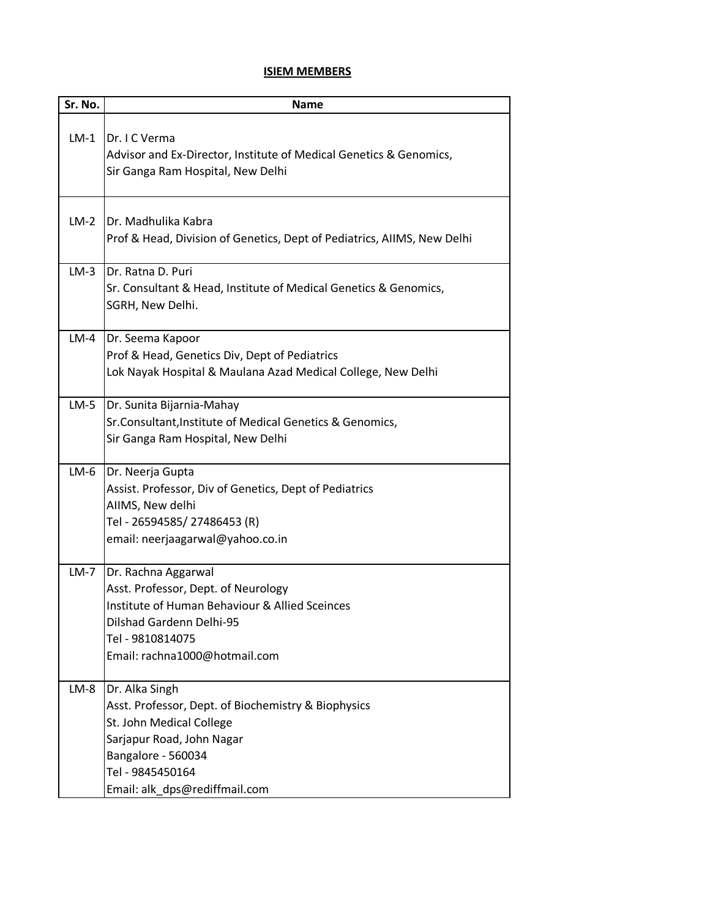## **ISIEM MEMBERS**

| Sr. No. | <b>Name</b>                                                                                             |
|---------|---------------------------------------------------------------------------------------------------------|
|         |                                                                                                         |
| $LM-1$  | Dr. I C Verma                                                                                           |
|         | Advisor and Ex-Director, Institute of Medical Genetics & Genomics,<br>Sir Ganga Ram Hospital, New Delhi |
|         |                                                                                                         |
| $LM-2$  | Dr. Madhulika Kabra                                                                                     |
|         | Prof & Head, Division of Genetics, Dept of Pediatrics, AIIMS, New Delhi                                 |
|         |                                                                                                         |
| $LM-3$  | Dr. Ratna D. Puri                                                                                       |
|         | Sr. Consultant & Head, Institute of Medical Genetics & Genomics,                                        |
|         | SGRH, New Delhi.                                                                                        |
| $LM-4$  | Dr. Seema Kapoor                                                                                        |
|         | Prof & Head, Genetics Div, Dept of Pediatrics                                                           |
|         | Lok Nayak Hospital & Maulana Azad Medical College, New Delhi                                            |
| $LM-5$  | Dr. Sunita Bijarnia-Mahay                                                                               |
|         | Sr.Consultant, Institute of Medical Genetics & Genomics,                                                |
|         | Sir Ganga Ram Hospital, New Delhi                                                                       |
| $LM-6$  | Dr. Neerja Gupta                                                                                        |
|         | Assist. Professor, Div of Genetics, Dept of Pediatrics                                                  |
|         | AIIMS, New delhi                                                                                        |
|         | Tel - 26594585/27486453 (R)                                                                             |
|         | email: neerjaagarwal@yahoo.co.in                                                                        |
| $LM-7$  | Dr. Rachna Aggarwal                                                                                     |
|         | Asst. Professor, Dept. of Neurology                                                                     |
|         | Institute of Human Behaviour & Allied Sceinces                                                          |
|         | Dilshad Gardenn Delhi-95                                                                                |
|         | Tel - 9810814075                                                                                        |
|         | Email: rachna1000@hotmail.com                                                                           |
| $LM-8$  | Dr. Alka Singh                                                                                          |
|         | Asst. Professor, Dept. of Biochemistry & Biophysics                                                     |
|         | St. John Medical College                                                                                |
|         | Sarjapur Road, John Nagar                                                                               |
|         | Bangalore - 560034                                                                                      |
|         | Tel - 9845450164                                                                                        |
|         | Email: alk_dps@rediffmail.com                                                                           |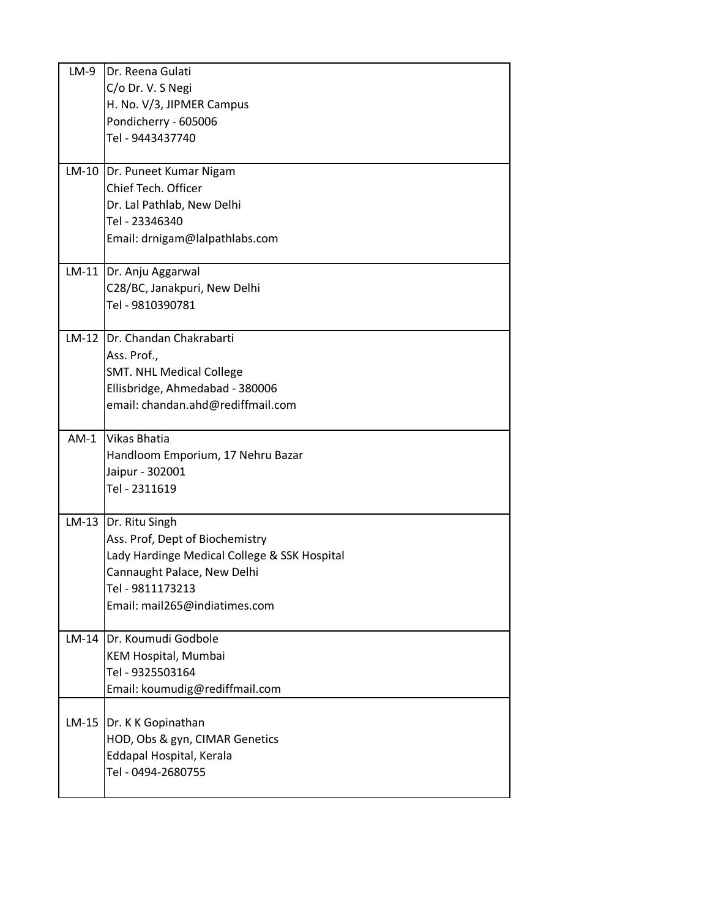| $LM-9$  | Dr. Reena Gulati                                           |  |
|---------|------------------------------------------------------------|--|
|         | C/o Dr. V. S Negi                                          |  |
|         | H. No. V/3, JIPMER Campus                                  |  |
|         | Pondicherry - 605006                                       |  |
|         | Tel - 9443437740                                           |  |
|         |                                                            |  |
|         | LM-10   Dr. Puneet Kumar Nigam                             |  |
|         | Chief Tech. Officer                                        |  |
|         | Dr. Lal Pathlab, New Delhi                                 |  |
|         | Tel - 23346340                                             |  |
|         | Email: drnigam@lalpathlabs.com                             |  |
|         | LM-11   Dr. Anju Aggarwal                                  |  |
|         | C28/BC, Janakpuri, New Delhi                               |  |
|         | Tel - 9810390781                                           |  |
|         |                                                            |  |
|         | LM-12 Dr. Chandan Chakrabarti                              |  |
|         | Ass. Prof.,                                                |  |
|         | <b>SMT. NHL Medical College</b>                            |  |
|         | Ellisbridge, Ahmedabad - 380006                            |  |
|         | email: chandan.ahd@rediffmail.com                          |  |
| $AM-1$  | <b>Vikas Bhatia</b>                                        |  |
|         | Handloom Emporium, 17 Nehru Bazar                          |  |
|         | Jaipur - 302001                                            |  |
|         | Tel - 2311619                                              |  |
|         |                                                            |  |
|         | LM-13  Dr. Ritu Singh                                      |  |
|         | Ass. Prof, Dept of Biochemistry                            |  |
|         | Lady Hardinge Medical College & SSK Hospital               |  |
|         | Cannaught Palace, New Delhi<br>Tel - 9811173213            |  |
|         | Email: mail265@indiatimes.com                              |  |
|         |                                                            |  |
| $LM-14$ | Dr. Koumudi Godbole                                        |  |
|         | KEM Hospital, Mumbai                                       |  |
|         | Tel - 9325503164                                           |  |
|         | Email: koumudig@rediffmail.com                             |  |
|         |                                                            |  |
|         | LM-15  Dr. K K Gopinathan                                  |  |
|         | HOD, Obs & gyn, CIMAR Genetics<br>Eddapal Hospital, Kerala |  |
|         | Tel - 0494-2680755                                         |  |
|         |                                                            |  |
|         |                                                            |  |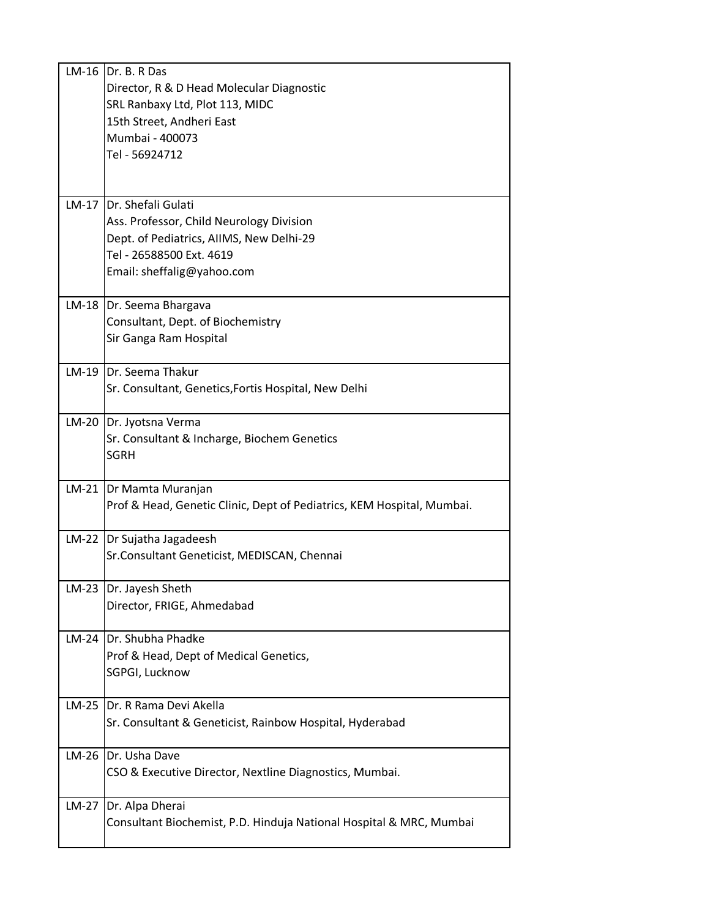| $LM-16$ | Dr. B. R Das                                                           |
|---------|------------------------------------------------------------------------|
|         | Director, R & D Head Molecular Diagnostic                              |
|         | SRL Ranbaxy Ltd, Plot 113, MIDC                                        |
|         | 15th Street, Andheri East                                              |
|         | Mumbai - 400073                                                        |
|         | Tel - 56924712                                                         |
|         |                                                                        |
|         |                                                                        |
| $LM-17$ | IDr. Shefali Gulati                                                    |
|         | Ass. Professor, Child Neurology Division                               |
|         | Dept. of Pediatrics, AIIMS, New Delhi-29                               |
|         | Tel - 26588500 Ext. 4619                                               |
|         | Email: sheffalig@yahoo.com                                             |
|         |                                                                        |
|         | LM-18   Dr. Seema Bhargava                                             |
|         | Consultant, Dept. of Biochemistry                                      |
|         | Sir Ganga Ram Hospital                                                 |
|         |                                                                        |
| $LM-19$ | <b>IDr.</b> Seema Thakur                                               |
|         | Sr. Consultant, Genetics, Fortis Hospital, New Delhi                   |
|         |                                                                        |
| $LM-20$ | Dr. Jyotsna Verma                                                      |
|         | Sr. Consultant & Incharge, Biochem Genetics                            |
|         | <b>SGRH</b>                                                            |
|         |                                                                        |
| $LM-21$ | Dr Mamta Muranjan                                                      |
|         | Prof & Head, Genetic Clinic, Dept of Pediatrics, KEM Hospital, Mumbai. |
|         |                                                                        |
|         | LM-22   Dr Sujatha Jagadeesh                                           |
|         | Sr.Consultant Geneticist, MEDISCAN, Chennai                            |
| $LM-23$ | Dr. Jayesh Sheth                                                       |
|         | Director, FRIGE, Ahmedabad                                             |
|         |                                                                        |
| $LM-24$ | Dr. Shubha Phadke                                                      |
|         | Prof & Head, Dept of Medical Genetics,                                 |
|         | SGPGI, Lucknow                                                         |
|         |                                                                        |
| $LM-25$ | Dr. R Rama Devi Akella                                                 |
|         | Sr. Consultant & Geneticist, Rainbow Hospital, Hyderabad               |
|         |                                                                        |
| $LM-26$ | Dr. Usha Dave                                                          |
|         | CSO & Executive Director, Nextline Diagnostics, Mumbai.                |
|         |                                                                        |
| $LM-27$ | Dr. Alpa Dherai                                                        |
|         | Consultant Biochemist, P.D. Hinduja National Hospital & MRC, Mumbai    |
|         |                                                                        |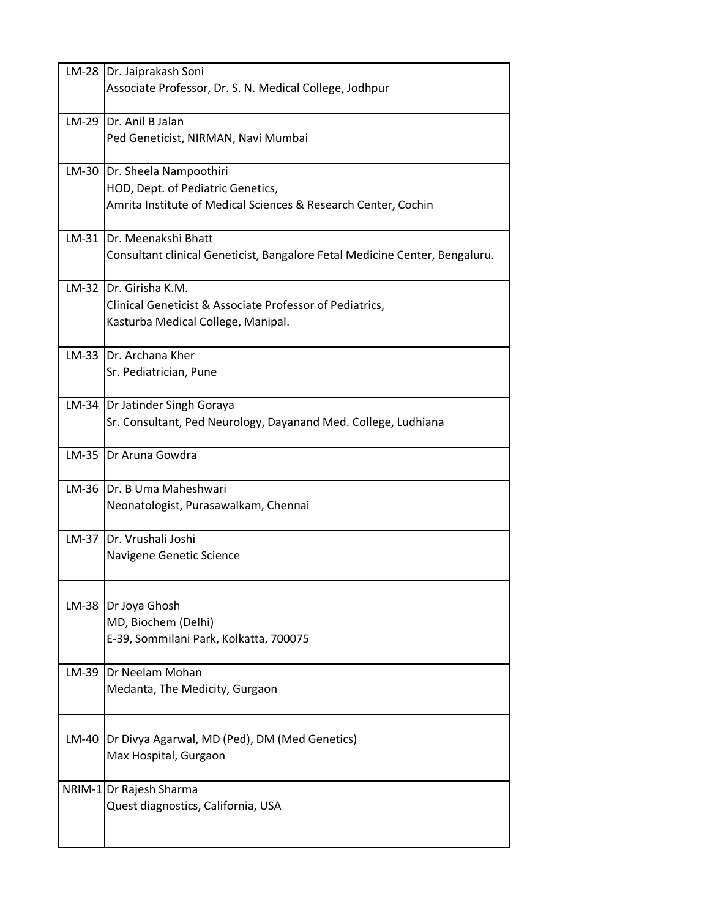|       | LM-28   Dr. Jaiprakash Soni                                                 |
|-------|-----------------------------------------------------------------------------|
|       | Associate Professor, Dr. S. N. Medical College, Jodhpur                     |
|       |                                                                             |
|       | LM-29 Dr. Anil B Jalan                                                      |
|       | Ped Geneticist, NIRMAN, Navi Mumbai                                         |
|       |                                                                             |
| LM-30 | Dr. Sheela Nampoothiri                                                      |
|       | HOD, Dept. of Pediatric Genetics,                                           |
|       |                                                                             |
|       | Amrita Institute of Medical Sciences & Research Center, Cochin              |
|       |                                                                             |
|       | LM-31 IDr. Meenakshi Bhatt                                                  |
|       | Consultant clinical Geneticist, Bangalore Fetal Medicine Center, Bengaluru. |
|       |                                                                             |
|       | LM-32 IDr. Girisha K.M.                                                     |
|       | Clinical Geneticist & Associate Professor of Pediatrics,                    |
|       | Kasturba Medical College, Manipal.                                          |
|       |                                                                             |
|       | LM-33 IDr. Archana Kher                                                     |
|       | Sr. Pediatrician, Pune                                                      |
|       |                                                                             |
|       | LM-34   Dr Jatinder Singh Goraya                                            |
|       | Sr. Consultant, Ped Neurology, Dayanand Med. College, Ludhiana              |
|       |                                                                             |
|       | LM-35 Dr Aruna Gowdra                                                       |
|       |                                                                             |
|       | LM-36 Dr. B Uma Maheshwari                                                  |
|       | Neonatologist, Purasawalkam, Chennai                                        |
|       |                                                                             |
|       | LM-37 IDr. Vrushali Joshi                                                   |
|       |                                                                             |
|       | Navigene Genetic Science                                                    |
|       |                                                                             |
|       |                                                                             |
| LM-38 | Dr Joya Ghosh                                                               |
|       | MD, Biochem (Delhi)                                                         |
|       | E-39, Sommilani Park, Kolkatta, 700075                                      |
|       |                                                                             |
| LM-39 | Dr Neelam Mohan                                                             |
|       | Medanta, The Medicity, Gurgaon                                              |
|       |                                                                             |
|       |                                                                             |
|       | LM-40  Dr Divya Agarwal, MD (Ped), DM (Med Genetics)                        |
|       | Max Hospital, Gurgaon                                                       |
|       |                                                                             |
|       | NRIM-1 Dr Rajesh Sharma                                                     |
|       | Quest diagnostics, California, USA                                          |
|       |                                                                             |
|       |                                                                             |
|       |                                                                             |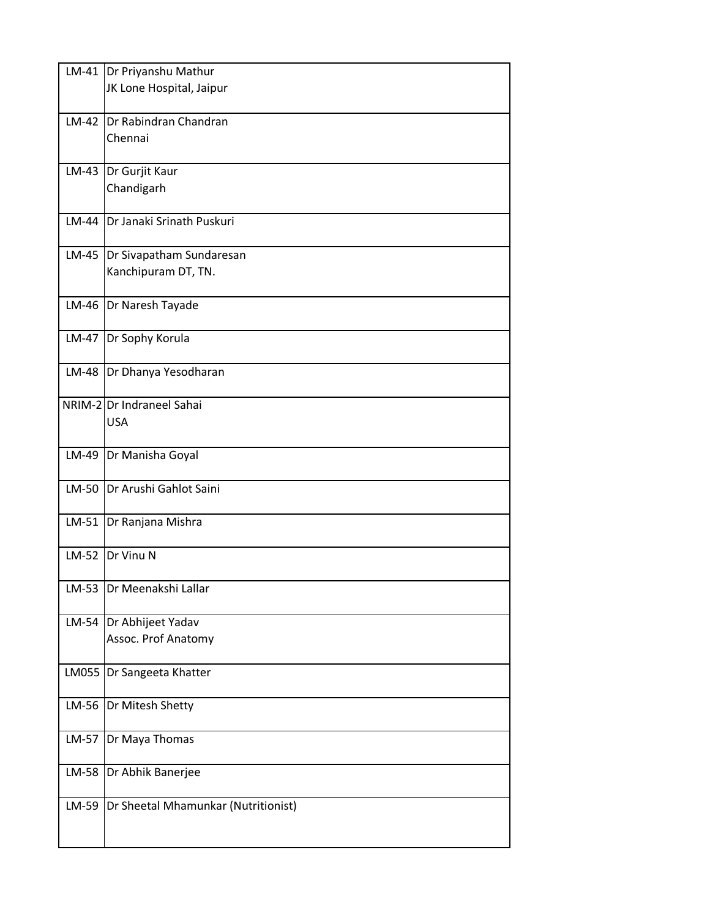|         | LM-41 Dr Priyanshu Mathur           |  |
|---------|-------------------------------------|--|
|         | JK Lone Hospital, Jaipur            |  |
|         |                                     |  |
|         | LM-42 Dr Rabindran Chandran         |  |
|         | Chennai                             |  |
|         |                                     |  |
|         | LM-43 Dr Gurjit Kaur                |  |
|         |                                     |  |
|         | Chandigarh                          |  |
|         |                                     |  |
| LM-44   | <b>IDr Janaki Srinath Puskuri</b>   |  |
|         |                                     |  |
|         | LM-45 Dr Sivapatham Sundaresan      |  |
|         | Kanchipuram DT, TN.                 |  |
|         |                                     |  |
|         | LM-46   Dr Naresh Tayade            |  |
|         |                                     |  |
| LM-47   | Dr Sophy Korula                     |  |
|         |                                     |  |
|         | LM-48   Dr Dhanya Yesodharan        |  |
|         |                                     |  |
|         |                                     |  |
|         | NRIM-2 Dr Indraneel Sahai           |  |
|         | <b>USA</b>                          |  |
|         |                                     |  |
| LM-49   | Dr Manisha Goyal                    |  |
|         |                                     |  |
|         | LM-50 Dr Arushi Gahlot Saini        |  |
|         |                                     |  |
|         | LM-51 Dr Ranjana Mishra             |  |
|         |                                     |  |
|         | LM-52 Dr Vinu N                     |  |
|         |                                     |  |
| LM-53   | Dr Meenakshi Lallar                 |  |
|         |                                     |  |
|         |                                     |  |
|         | LM-54   Dr Abhijeet Yadav           |  |
|         | Assoc. Prof Anatomy                 |  |
|         |                                     |  |
|         | LM055   Dr Sangeeta Khatter         |  |
|         |                                     |  |
|         | LM-56  Dr Mitesh Shetty             |  |
|         |                                     |  |
| LM-57   | Dr Maya Thomas                      |  |
|         |                                     |  |
|         | LM-58 Dr Abhik Banerjee             |  |
|         |                                     |  |
| $LM-59$ | Dr Sheetal Mhamunkar (Nutritionist) |  |
|         |                                     |  |
|         |                                     |  |
|         |                                     |  |